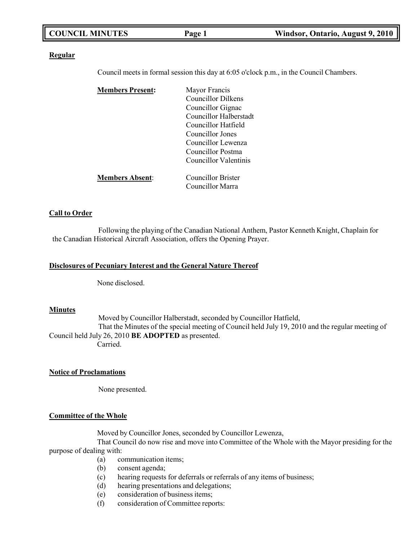|--|

#### **Regular**

Council meets in formal session this day at 6:05 o'clock p.m., in the Council Chambers.

| <b>Members Present:</b> | Mayor Francis             |
|-------------------------|---------------------------|
|                         | <b>Councillor Dilkens</b> |
|                         | Councillor Gignac         |
|                         | Councillor Halberstadt    |
|                         | Councillor Hatfield       |
|                         | Councillor Jones          |
|                         | Councillor Lewenza        |
|                         | Councillor Postma         |
|                         | Councillor Valentinis     |
| <b>Members Absent:</b>  | Councillor Brister        |
|                         | Councillor Marra          |

### **Call to Order**

Following the playing of the Canadian National Anthem, Pastor Kenneth Knight, Chaplain for the Canadian Historical Aircraft Association, offers the Opening Prayer.

#### **Disclosures of Pecuniary Interest and the General Nature Thereof**

None disclosed.

### **Minutes**

Moved by Councillor Halberstadt, seconded by Councillor Hatfield,

That the Minutes of the special meeting of Council held July 19, 2010 and the regular meeting of Council held July 26, 2010 **BE ADOPTED** as presented. Carried.

### **Notice of Proclamations**

None presented.

#### **Committee of the Whole**

Moved by Councillor Jones, seconded by Councillor Lewenza,

That Council do now rise and move into Committee of the Whole with the Mayor presiding for the purpose of dealing with:

- (a) communication items;
- (b) consent agenda;
- (c) hearing requests for deferrals or referrals of any items of business;
- (d) hearing presentations and delegations;
- (e) consideration of business items;
- (f) consideration of Committee reports: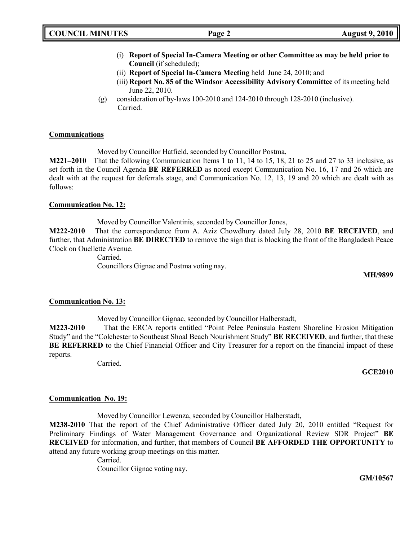# **COUNCIL MINUTES Page 2 August 9, 2010**

- (i) **Report of Special In-Camera Meeting or other Committee as may be held prior to Council** (if scheduled);
- (ii) **Report of Special In-Camera Meeting** held June 24, 2010; and
- (iii) **Report No. 85 of the Windsor Accessibility Advisory Committee** of its meeting held June 22, 2010.
- (g) consideration of by-laws 100-2010 and 124-2010 through 128-2010 (inclusive). Carried.

## **Communications**

Moved by Councillor Hatfield, seconded by Councillor Postma,

**M221–2010** That the following Communication Items 1 to 11, 14 to 15, 18, 21 to 25 and 27 to 33 inclusive, as set forth in the Council Agenda **BE REFERRED** as noted except Communication No. 16, 17 and 26 which are dealt with at the request for deferrals stage, and Communication No. 12, 13, 19 and 20 which are dealt with as follows:

## **Communication No. 12:**

Moved by Councillor Valentinis, seconded by Councillor Jones,

**M222-2010** That the correspondence from A. Aziz Chowdhury dated July 28, 2010 **BE RECEIVED**, and further, that Administration **BE DIRECTED** to remove the sign that is blocking the front of the Bangladesh Peace Clock on Ouellette Avenue.

> Carried. Councillors Gignac and Postma voting nay.

**MH/9899**

## **Communication No. 13:**

Moved by Councillor Gignac, seconded by Councillor Halberstadt,

**M223-2010** That the ERCA reports entitled "Point Pelee Peninsula Eastern Shoreline Erosion Mitigation Study" and the "Colchester to Southeast Shoal Beach Nourishment Study" **BE RECEIVED**, and further, that these BE REFERRED to the Chief Financial Officer and City Treasurer for a report on the financial impact of these reports.

Carried.

### **GCE2010**

## **Communication No. 19:**

Moved by Councillor Lewenza, seconded by Councillor Halberstadt,

**M238-2010** That the report of the Chief Administrative Officer dated July 20, 2010 entitled "Request for Preliminary Findings of Water Management Governance and Organizational Review SDR Project" **BE RECEIVED** for information, and further, that members of Council **BE AFFORDED THE OPPORTUNITY** to attend any future working group meetings on this matter.

Carried.

Councillor Gignac voting nay.

**GM/10567**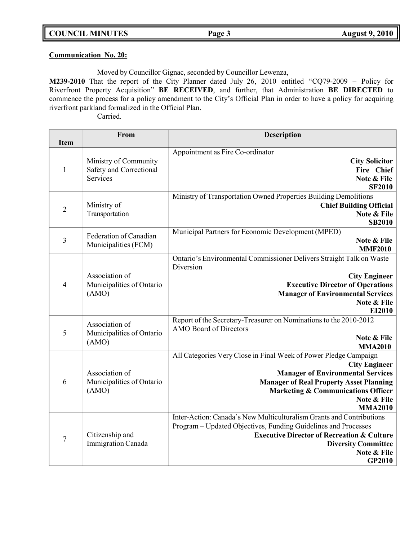## **Communication No. 20:**

Moved by Councillor Gignac, seconded by Councillor Lewenza,

**M239-2010** That the report of the City Planner dated July 26, 2010 entitled "CQ79-2009 – Policy for Riverfront Property Acquisition" **BE RECEIVED**, and further, that Administration **BE DIRECTED** to commence the process for a policy amendment to the City's Official Plan in order to have a policy for acquiring riverfront parkland formalized in the Official Plan.

| <b>Item</b>    | From                                                         | <b>Description</b>                                                                                                                                                                                                                                                       |
|----------------|--------------------------------------------------------------|--------------------------------------------------------------------------------------------------------------------------------------------------------------------------------------------------------------------------------------------------------------------------|
| $\mathbf{1}$   | Ministry of Community<br>Safety and Correctional<br>Services | Appointment as Fire Co-ordinator<br><b>City Solicitor</b><br>Fire Chief<br>Note & File<br><b>SF2010</b>                                                                                                                                                                  |
| $\overline{2}$ | Ministry of<br>Transportation                                | Ministry of Transportation Owned Properties Building Demolitions<br><b>Chief Building Official</b><br>Note & File<br><b>SB2010</b>                                                                                                                                       |
| $\overline{3}$ | Federation of Canadian<br>Municipalities (FCM)               | Municipal Partners for Economic Development (MPED)<br>Note & File<br><b>MMF2010</b>                                                                                                                                                                                      |
| $\overline{4}$ | Association of<br>Municipalities of Ontario<br>(AMO)         | Ontario's Environmental Commissioner Delivers Straight Talk on Waste<br>Diversion<br><b>City Engineer</b><br><b>Executive Director of Operations</b><br><b>Manager of Environmental Services</b><br>Note & File<br>EI2010                                                |
| 5              | Association of<br>Municipalities of Ontario<br>(AMO)         | Report of the Secretary-Treasurer on Nominations to the 2010-2012<br><b>AMO</b> Board of Directors<br>Note & File<br><b>MMA2010</b>                                                                                                                                      |
| 6              | Association of<br>Municipalities of Ontario<br>(AMO)         | All Categories Very Close in Final Week of Power Pledge Campaign<br><b>City Engineer</b><br><b>Manager of Environmental Services</b><br><b>Manager of Real Property Asset Planning</b><br><b>Marketing &amp; Communications Officer</b><br>Note & File<br><b>MMA2010</b> |
| $\overline{7}$ | Citizenship and<br>Immigration Canada                        | Inter-Action: Canada's New Multiculturalism Grants and Contributions<br>Program - Updated Objectives, Funding Guidelines and Processes<br><b>Executive Director of Recreation &amp; Culture</b><br><b>Diversity Committee</b><br>Note & File<br>GP2010                   |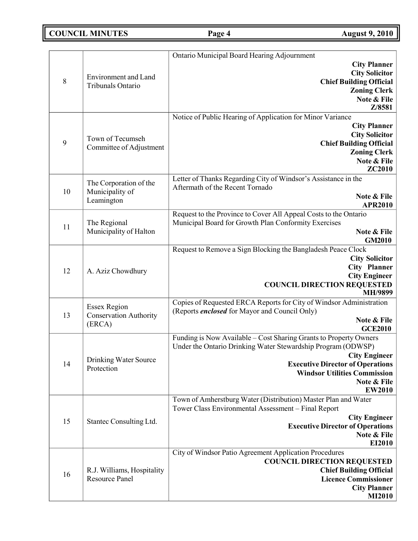## **COUNCIL MINUTES Page 4 August 9, 2010**

|              |                                                                | Ontario Municipal Board Hearing Adjournment                                                                                                                                                                                                                                 |
|--------------|----------------------------------------------------------------|-----------------------------------------------------------------------------------------------------------------------------------------------------------------------------------------------------------------------------------------------------------------------------|
| $\,8\,$      | Environment and Land<br>Tribunals Ontario                      | <b>City Planner</b><br><b>City Solicitor</b><br><b>Chief Building Official</b><br><b>Zoning Clerk</b><br>Note & File<br>Z/8581                                                                                                                                              |
| $\mathbf{9}$ | Town of Tecumseh<br>Committee of Adjustment                    | Notice of Public Hearing of Application for Minor Variance<br><b>City Planner</b><br><b>City Solicitor</b><br><b>Chief Building Official</b><br><b>Zoning Clerk</b><br>Note & File<br>ZC2010                                                                                |
| 10           | The Corporation of the<br>Municipality of<br>Leamington        | Letter of Thanks Regarding City of Windsor's Assistance in the<br>Aftermath of the Recent Tornado<br>Note & File<br><b>APR2010</b>                                                                                                                                          |
| 11           | The Regional<br>Municipality of Halton                         | Request to the Province to Cover All Appeal Costs to the Ontario<br>Municipal Board for Growth Plan Conformity Exercises<br>Note & File<br><b>GM2010</b>                                                                                                                    |
| 12           | A. Aziz Chowdhury                                              | Request to Remove a Sign Blocking the Bangladesh Peace Clock<br><b>City Solicitor</b><br><b>City Planner</b><br><b>City Engineer</b><br><b>COUNCIL DIRECTION REQUESTED</b><br>MH/9899                                                                                       |
| 13           | <b>Essex Region</b><br><b>Conservation Authority</b><br>(ERCA) | Copies of Requested ERCA Reports for City of Windsor Administration<br>(Reports <i>enclosed</i> for Mayor and Council Only)<br>Note & File<br><b>GCE2010</b>                                                                                                                |
| 14           | Drinking Water Source<br>Protection                            | Funding is Now Available - Cost Sharing Grants to Property Owners<br>Under the Ontario Drinking Water Stewardship Program (ODWSP)<br><b>City Engineer</b><br><b>Executive Director of Operations</b><br><b>Windsor Utilities Commission</b><br>Note & File<br><b>EW2010</b> |
| 15           | Stantec Consulting Ltd.                                        | Town of Amherstburg Water (Distribution) Master Plan and Water<br>Tower Class Environmental Assessment - Final Report<br><b>City Engineer</b><br><b>Executive Director of Operations</b><br>Note & File<br>EI2010                                                           |
| 16           | R.J. Williams, Hospitality<br><b>Resource Panel</b>            | City of Windsor Patio Agreement Application Procedures<br><b>COUNCIL DIRECTION REQUESTED</b><br><b>Chief Building Official</b><br><b>Licence Commissioner</b><br><b>City Planner</b><br><b>MI2010</b>                                                                       |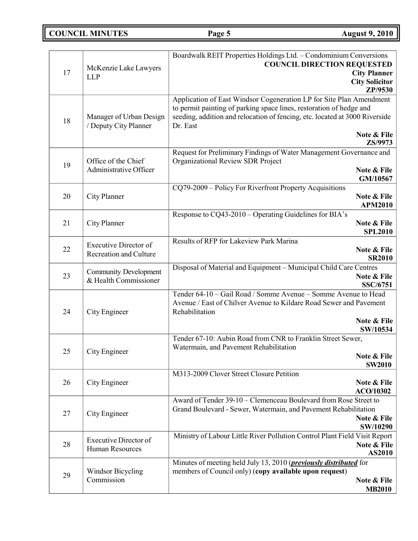**COUNCIL MINUTES Page 5 August 9, 2010**

| 17 | McKenzie Lake Lawyers<br><b>LLP</b>                           | Boardwalk REIT Properties Holdings Ltd. - Condominium Conversions<br><b>COUNCIL DIRECTION REQUESTED</b><br><b>City Planner</b><br><b>City Solicitor</b><br>ZP/9530                                                                                   |
|----|---------------------------------------------------------------|------------------------------------------------------------------------------------------------------------------------------------------------------------------------------------------------------------------------------------------------------|
| 18 | Manager of Urban Design<br>/ Deputy City Planner              | Application of East Windsor Cogeneration LP for Site Plan Amendment<br>to permit painting of parking space lines, restoration of hedge and<br>seeding, addition and relocation of fencing, etc. located at 3000 Riverside<br>Dr. East<br>Note & File |
|    |                                                               | ZS/9973                                                                                                                                                                                                                                              |
| 19 | Office of the Chief<br>Administrative Officer                 | Request for Preliminary Findings of Water Management Governance and<br>Organizational Review SDR Project<br>Note & File                                                                                                                              |
|    |                                                               | GM/10567<br>CQ79-2009 – Policy For Riverfront Property Acquisitions                                                                                                                                                                                  |
| 20 | City Planner                                                  | Note & File<br><b>APM2010</b>                                                                                                                                                                                                                        |
| 21 | City Planner                                                  | Response to CQ43-2010 – Operating Guidelines for BIA's<br>Note & File<br><b>SPL2010</b>                                                                                                                                                              |
| 22 | <b>Executive Director of</b><br><b>Recreation and Culture</b> | Results of RFP for Lakeview Park Marina<br>Note & File<br><b>SR2010</b>                                                                                                                                                                              |
| 23 | <b>Community Development</b><br>& Health Commissioner         | Disposal of Material and Equipment - Municipal Child Care Centres<br>Note & File<br><b>SSC/6751</b>                                                                                                                                                  |
| 24 | City Engineer                                                 | Tender 64-10 - Gail Road / Somme Avenue - Somme Avenue to Head<br>Avenue / East of Chilver Avenue to Kildare Road Sewer and Pavement<br>Rehabilitation<br>Note & File                                                                                |
|    |                                                               | SW/10534<br>Tender 67-10: Aubin Road from CNR to Franklin Street Sewer,                                                                                                                                                                              |
| 25 | City Engineer                                                 | Watermain, and Pavement Rehabilitation<br>Note & File                                                                                                                                                                                                |
|    |                                                               | <b>SW2010</b><br>M313-2009 Clover Street Closure Petition                                                                                                                                                                                            |
| 26 | City Engineer                                                 | Note & File<br>ACO/10302                                                                                                                                                                                                                             |
| 27 | City Engineer                                                 | Award of Tender 39-10 - Clemenceau Boulevard from Rose Street to<br>Grand Boulevard - Sewer, Watermain, and Pavement Rehabilitation<br>Note & File<br>SW/10290                                                                                       |
| 28 | Executive Director of<br><b>Human Resources</b>               | Ministry of Labour Little River Pollution Control Plant Field Visit Report<br>Note & File<br>AS2010                                                                                                                                                  |
| 29 | <b>Windsor Bicycling</b><br>Commission                        | Minutes of meeting held July 13, 2010 ( <i>previously distributed</i> for<br>members of Council only) (copy available upon request)<br>Note & File<br><b>MB2010</b>                                                                                  |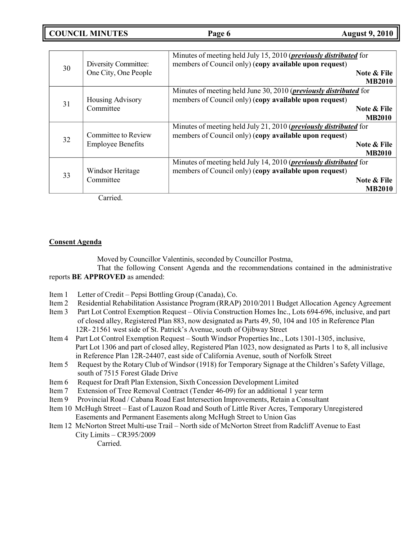**COUNCIL MINUTES Page 6 August 9, 2010**

| 30 | Diversity Committee:<br>One City, One People    | Minutes of meeting held July 15, 2010 ( <i>previously distributed</i> for<br>members of Council only) (copy available upon request)<br>Note & File<br><b>MB2010</b> |
|----|-------------------------------------------------|---------------------------------------------------------------------------------------------------------------------------------------------------------------------|
| 31 | Housing Advisory<br>Committee                   | Minutes of meeting held June 30, 2010 ( <i>previously distributed</i> for<br>members of Council only) (copy available upon request)<br>Note & File<br><b>MB2010</b> |
| 32 | Committee to Review<br><b>Employee Benefits</b> | Minutes of meeting held July 21, 2010 ( <i>previously distributed</i> for<br>members of Council only) (copy available upon request)<br>Note & File<br><b>MB2010</b> |
| 33 | Windsor Heritage<br>Committee                   | Minutes of meeting held July 14, 2010 ( <i>previously distributed</i> for<br>members of Council only) (copy available upon request)<br>Note & File<br><b>MB2010</b> |

Carried.

## **Consent Agenda**

Moved by Councillor Valentinis, seconded by Councillor Postma,

That the following Consent Agenda and the recommendations contained in the administrative reports **BE APPROVED** as amended:

- Item 1 Letter of Credit Pepsi Bottling Group (Canada), Co.
- Item 2 Residential Rehabilitation Assistance Program (RRAP) 2010/2011 Budget Allocation Agency Agreement
- Item 3 Part Lot Control Exemption Request Olivia Construction Homes Inc., Lots 694-696, inclusive, and part of closed alley, Registered Plan 883, now designated as Parts 49, 50, 104 and 105 in Reference Plan 12R- 21561 west side of St. Patrick's Avenue, south of Ojibway Street
- Item 4 Part Lot Control Exemption Request South Windsor Properties Inc., Lots 1301-1305, inclusive, Part Lot 1306 and part of closed alley, Registered Plan 1023, now designated as Parts 1 to 8, all inclusive in Reference Plan 12R-24407, east side of California Avenue, south of Norfolk Street
- Item 5 Request by the Rotary Club of Windsor (1918) for Temporary Signage at the Children's Safety Village, south of 7515 Forest Glade Drive
- Item 6 Request for Draft Plan Extension, Sixth Concession Development Limited
- Item 7 Extension of Tree Removal Contract (Tender 46-09) for an additional 1 year term
- Item 9 Provincial Road / Cabana Road East Intersection Improvements, Retain a Consultant
- Item 10 McHugh Street East of Lauzon Road and South of Little River Acres, Temporary Unregistered Easements and Permanent Easements along McHugh Street to Union Gas
- Item 12 McNorton Street Multi-use Trail North side of McNorton Street from Radcliff Avenue to East City Limits – CR395/2009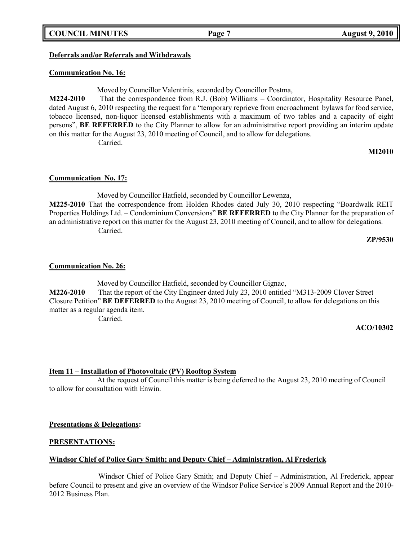## **COUNCIL MINUTES Page 7 August 9, 2010**

## **Deferrals and/or Referrals and Withdrawals**

### **Communication No. 16:**

Moved by Councillor Valentinis, seconded by Councillor Postma,

**M224-2010** That the correspondence from R.J. (Bob) Williams – Coordinator, Hospitality Resource Panel, dated August 6, 2010 respecting the request for a "temporary reprieve from encroachment bylaws for food service, tobacco licensed, non-liquor licensed establishments with a maximum of two tables and a capacity of eight persons", **BE REFERRED** to the City Planner to allow for an administrative report providing an interim update on this matter for the August 23, 2010 meeting of Council, and to allow for delegations. Carried.

**MI2010**

## **Communication No. 17:**

Moved by Councillor Hatfield, seconded by Councillor Lewenza, **M225-2010** That the correspondence from Holden Rhodes dated July 30, 2010 respecting "Boardwalk REIT Properties Holdings Ltd. – Condominium Conversions" **BE REFERRED** to the City Planner for the preparation of an administrative report on this matter for the August 23, 2010 meeting of Council, and to allow for delegations. Carried.

**ZP/9530**

### **Communication No. 26:**

Moved by Councillor Hatfield, seconded by Councillor Gignac, **M226-2010** That the report of the City Engineer dated July 23, 2010 entitled "M313-2009 Clover Street Closure Petition" **BE DEFERRED** to the August 23, 2010 meeting of Council, to allow for delegations on this matter as a regular agenda item. Carried.

#### **ACO/10302**

### **Item 11 – Installation of Photovoltaic (PV) Rooftop System**

At the request of Council this matter is being deferred to the August 23, 2010 meeting of Council to allow for consultation with Enwin.

### **Presentations & Delegations:**

## **PRESENTATIONS:**

## **Windsor Chief of Police Gary Smith; and Deputy Chief – Administration, Al Frederick**

Windsor Chief of Police Gary Smith; and Deputy Chief – Administration, Al Frederick, appear before Council to present and give an overview of the Windsor Police Service's 2009 Annual Report and the 2010- 2012 Business Plan.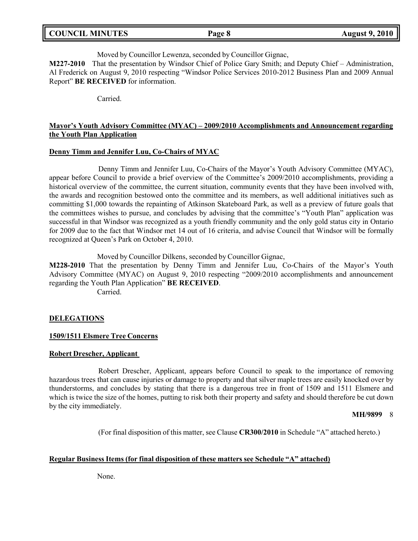| <b>COUNCIL MINUTES</b><br><b>August 9, 2010</b><br>Page 8 |  |
|-----------------------------------------------------------|--|
|-----------------------------------------------------------|--|

Moved by Councillor Lewenza, seconded by Councillor Gignac,

**M227-2010** That the presentation by Windsor Chief of Police Gary Smith; and Deputy Chief – Administration, Al Frederick on August 9, 2010 respecting "Windsor Police Services 2010-2012 Business Plan and 2009 Annual Report" **BE RECEIVED** for information.

Carried.

## **Mayor's Youth Advisory Committee (MYAC) – 2009/2010 Accomplishments and Announcement regarding the Youth Plan Application**

## **Denny Timm and Jennifer Luu, Co-Chairs of MYAC**

Denny Timm and Jennifer Luu, Co-Chairs of the Mayor's Youth Advisory Committee (MYAC), appear before Council to provide a brief overview of the Committee's 2009/2010 accomplishments, providing a historical overview of the committee, the current situation, community events that they have been involved with, the awards and recognition bestowed onto the committee and its members, as well additional initiatives such as committing \$1,000 towards the repainting of Atkinson Skateboard Park, as well as a preview of future goals that the committees wishes to pursue, and concludes by advising that the committee's "Youth Plan" application was successful in that Windsor was recognized as a youth friendly community and the only gold status city in Ontario for 2009 due to the fact that Windsor met 14 out of 16 criteria, and advise Council that Windsor will be formally recognized at Queen's Park on October 4, 2010.

Moved by Councillor Dilkens, seconded by Councillor Gignac,

**M228-2010** That the presentation by Denny Timm and Jennifer Luu, Co-Chairs of the Mayor's Youth Advisory Committee (MYAC) on August 9, 2010 respecting "2009/2010 accomplishments and announcement regarding the Youth Plan Application" **BE RECEIVED**.

Carried.

## **DELEGATIONS**

## **1509/1511 Elsmere Tree Concerns**

## **Robert Drescher, Applicant**

Robert Drescher, Applicant, appears before Council to speak to the importance of removing hazardous trees that can cause injuries or damage to property and that silver maple trees are easily knocked over by thunderstorms, and concludes by stating that there is a dangerous tree in front of 1509 and 1511 Elsmere and which is twice the size of the homes, putting to risk both their property and safety and should therefore be cut down by the city immediately.

### **MH/9899** 8

(For final disposition of this matter, see Clause **CR300/2010** in Schedule "A" attached hereto.)

## **Regular Business Items (for final disposition of these matters see Schedule "A" attached)**

None.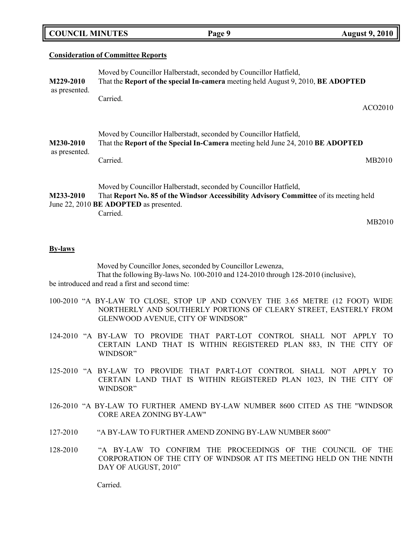#### **Consideration of Committee Reports**

| M229-2010                  | Moved by Councillor Halberstadt, seconded by Councillor Hatfield,<br>That the Report of the special In-camera meeting held August 9, 2010, BE ADOPTED                                                             |                     |
|----------------------------|-------------------------------------------------------------------------------------------------------------------------------------------------------------------------------------------------------------------|---------------------|
| as presented.              | Carried.                                                                                                                                                                                                          | ACO <sub>2010</sub> |
| M230-2010<br>as presented. | Moved by Councillor Halberstadt, seconded by Councillor Hatfield,<br>That the Report of the Special In-Camera meeting held June 24, 2010 BE ADOPTED                                                               |                     |
|                            | Carried.                                                                                                                                                                                                          | MB2010              |
| M233-2010                  | Moved by Councillor Halberstadt, seconded by Councillor Hatfield,<br>That Report No. 85 of the Windsor Accessibility Advisory Committee of its meeting held<br>June 22, 2010 BE ADOPTED as presented.<br>Carried. |                     |
|                            |                                                                                                                                                                                                                   | MB2010              |

**Page 9 August 9, 2010** 

### **By-laws**

Moved by Councillor Jones, seconded by Councillor Lewenza, That the following By-laws No. 100-2010 and 124-2010 through 128-2010 (inclusive), be introduced and read a first and second time:

- 100-2010 "A BY-LAW TO CLOSE, STOP UP AND CONVEY THE 3.65 METRE (12 FOOT) WIDE NORTHERLY AND SOUTHERLY PORTIONS OF CLEARY STREET, EASTERLY FROM GLENWOOD AVENUE, CITY OF WINDSOR"
- 124-2010 "A BY-LAW TO PROVIDE THAT PART-LOT CONTROL SHALL NOT APPLY TO CERTAIN LAND THAT IS WITHIN REGISTERED PLAN 883, IN THE CITY OF WINDSOR"
- 125-2010 "A BY-LAW TO PROVIDE THAT PART-LOT CONTROL SHALL NOT APPLY TO CERTAIN LAND THAT IS WITHIN REGISTERED PLAN 1023, IN THE CITY OF WINDSOR"
- 126-2010 "A BY-LAW TO FURTHER AMEND BY-LAW NUMBER 8600 CITED AS THE "WINDSOR CORE AREA ZONING BY-LAW"
- 127-2010 "A BY-LAW TO FURTHER AMEND ZONING BY-LAW NUMBER 8600"
- 128-2010 "A BY-LAW TO CONFIRM THE PROCEEDINGS OF THE COUNCIL OF THE CORPORATION OF THE CITY OF WINDSOR AT ITS MEETING HELD ON THE NINTH DAY OF AUGUST, 2010"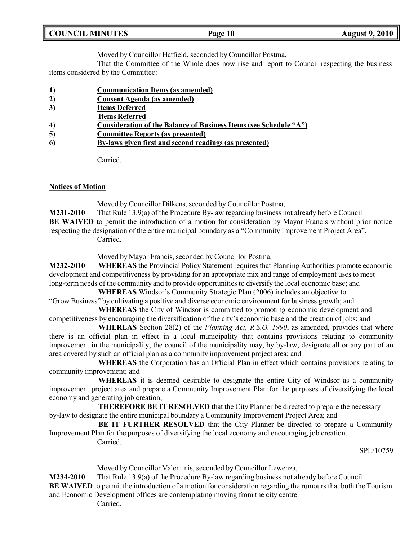Moved by Councillor Hatfield, seconded by Councillor Postma,

That the Committee of the Whole does now rise and report to Council respecting the business items considered by the Committee:

- **1) Communication Items (as amended)**
- **2) Consent Agenda (as amended)**
- **3) Items Deferred**
- **Items Referred**
- **4) Consideration of the Balance of Business Items (see Schedule "A")**
- **5) Committee Reports (as presented)**
- **6) By-laws given first and second readings (as presented)**

Carried.

## **Notices of Motion**

Moved by Councillor Dilkens, seconded by Councillor Postma,

**M231-2010** That Rule 13.9(a) of the Procedure By-law regarding business not already before Council **BE WAIVED** to permit the introduction of a motion for consideration by Mayor Francis without prior notice respecting the designation of the entire municipal boundary as a "Community Improvement Project Area". Carried.

Moved by Mayor Francis, seconded by Councillor Postma,

**M232-2010 WHEREAS** the Provincial Policy Statement requires that Planning Authorities promote economic development and competitiveness by providing for an appropriate mix and range of employment uses to meet long-term needs of the community and to provide opportunities to diversify the local economic base; and

**WHEREAS** Windsor's Community Strategic Plan (2006) includes an objective to "Grow Business" by cultivating a positive and diverse economic environment for business growth; and

**WHEREAS** the City of Windsor is committed to promoting economic development and competitiveness by encouraging the diversification of the city's economic base and the creation of jobs; and

**WHEREAS** Section 28(2) of the *Planning Act, R.S.O. 1990*, as amended, provides that where there is an official plan in effect in a local municipality that contains provisions relating to community improvement in the municipality, the council of the municipality may, by by-law, designate all or any part of an area covered by such an official plan as a community improvement project area; and

**WHEREAS** the Corporation has an Official Plan in effect which contains provisions relating to community improvement; and

**WHEREAS** it is deemed desirable to designate the entire City of Windsor as a community improvement project area and prepare a Community Improvement Plan for the purposes of diversifying the local economy and generating job creation;

**THEREFORE BE IT RESOLVED** that the City Planner be directed to prepare the necessary by-law to designate the entire municipal boundary a Community Improvement Project Area; and

**BE IT FURTHER RESOLVED** that the City Planner be directed to prepare a Community Improvement Plan for the purposes of diversifying the local economy and encouraging job creation. Carried.

SPL/10759

Moved by Councillor Valentinis, seconded by Councillor Lewenza,

**M234-2010** That Rule 13.9(a) of the Procedure By-law regarding business not already before Council **BE WAIVED** to permit the introduction of a motion for consideration regarding the rumours that both the Tourism and Economic Development offices are contemplating moving from the city centre.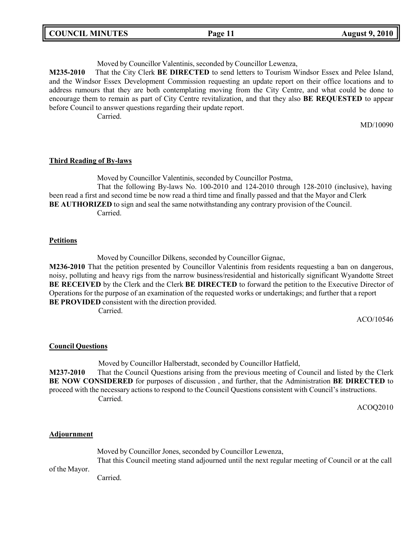| <b>COUNCIL MINUTES</b> | Page 11 | <b>August 9, 2010</b> |
|------------------------|---------|-----------------------|
|                        |         |                       |

Moved by Councillor Valentinis, seconded by Councillor Lewenza,

**M235-2010** That the City Clerk **BE DIRECTED** to send letters to Tourism Windsor Essex and Pelee Island, and the Windsor Essex Development Commission requesting an update report on their office locations and to address rumours that they are both contemplating moving from the City Centre, and what could be done to encourage them to remain as part of City Centre revitalization, and that they also **BE REQUESTED** to appear before Council to answer questions regarding their update report.

Carried.

MD/10090

## **Third Reading of By-laws**

Moved by Councillor Valentinis, seconded by Councillor Postma,

That the following By-laws No. 100-2010 and 124-2010 through 128-2010 (inclusive), having been read a first and second time be now read a third time and finally passed and that the Mayor and Clerk **BE AUTHORIZED** to sign and seal the same notwithstanding any contrary provision of the Council. Carried.

## **Petitions**

Moved by Councillor Dilkens, seconded by Councillor Gignac,

**M236-2010** That the petition presented by Councillor Valentinis from residents requesting a ban on dangerous, noisy, polluting and heavy rigs from the narrow business/residential and historically significant Wyandotte Street **BE RECEIVED** by the Clerk and the Clerk **BE DIRECTED** to forward the petition to the Executive Director of Operations for the purpose of an examination of the requested works or undertakings; and further that a report **BE PROVIDED** consistent with the direction provided.

Carried.

ACO/10546

## **Council Questions**

Moved by Councillor Halberstadt, seconded by Councillor Hatfield, **M237-2010** That the Council Questions arising from the previous meeting of Council and listed by the Clerk **BE NOW CONSIDERED** for purposes of discussion , and further, that the Administration **BE DIRECTED** to proceed with the necessary actions to respond to the Council Questions consistent with Council's instructions. Carried.

ACOQ2010

## **Adjournment**

Moved by Councillor Jones, seconded by Councillor Lewenza,

of the Mayor. That this Council meeting stand adjourned until the next regular meeting of Council or at the call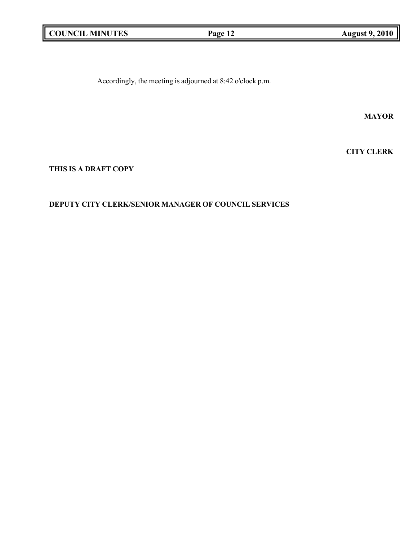|  | <b>COUNCIL MINUTES</b> |
|--|------------------------|
|--|------------------------|

Accordingly, the meeting is adjourned at 8:42 o'clock p.m.

**MAYOR**

**CITY CLERK**

**THIS IS A DRAFT COPY**

## **DEPUTY CITY CLERK/SENIOR MANAGER OF COUNCIL SERVICES**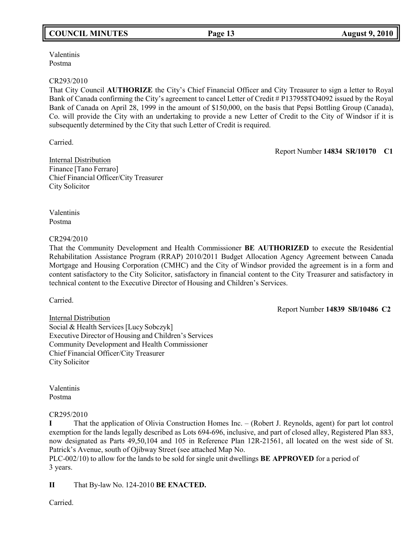## **COUNCIL MINUTES Page 13 August 9, 2010**

Valentinis Postma

### CR293/2010

That City Council **AUTHORIZE** the City's Chief Financial Officer and City Treasurer to sign a letter to Royal Bank of Canada confirming the City's agreement to cancel Letter of Credit # P137958TO4092 issued by the Royal Bank of Canada on April 28, 1999 in the amount of \$150,000, on the basis that Pepsi Bottling Group (Canada), Co. will provide the City with an undertaking to provide a new Letter of Credit to the City of Windsor if it is subsequently determined by the City that such Letter of Credit is required.

Carried.

Report Number **14834 SR/10170 C1**

Internal Distribution Finance [Tano Ferraro] Chief Financial Officer/City Treasurer City Solicitor

Valentinis Postma

## CR294/2010

That the Community Development and Health Commissioner **BE AUTHORIZED** to execute the Residential Rehabilitation Assistance Program (RRAP) 2010/2011 Budget Allocation Agency Agreement between Canada Mortgage and Housing Corporation (CMHC) and the City of Windsor provided the agreement is in a form and content satisfactory to the City Solicitor, satisfactory in financial content to the City Treasurer and satisfactory in technical content to the Executive Director of Housing and Children's Services.

Carried.

Report Number **14839 SB/10486 C2**

Internal Distribution Social & Health Services [Lucy Sobczyk] Executive Director of Housing and Children's Services Community Development and Health Commissioner Chief Financial Officer/City Treasurer City Solicitor

Valentinis Postma

## CR295/2010

**I** That the application of Olivia Construction Homes Inc. – (Robert J. Reynolds, agent) for part lot control exemption for the lands legally described as Lots 694-696, inclusive, and part of closed alley, Registered Plan 883, now designated as Parts 49,50,104 and 105 in Reference Plan 12R-21561, all located on the west side of St. Patrick's Avenue, south of Ojibway Street (see attached Map No.

PLC-002/10) to allow for the lands to be sold for single unit dwellings **BE APPROVED** for a period of 3 years.

**II** That By-law No. 124-2010 **BE ENACTED.**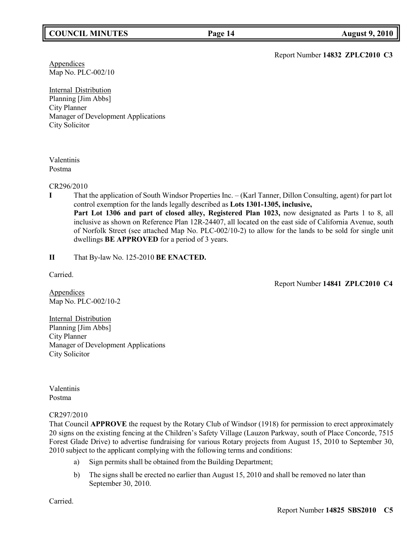## **COUNCIL MINUTES Page 14 August 9, 2010**

Report Number **14832 ZPLC2010 C3**

**Appendices** Map No. PLC-002/10

Internal Distribution Planning [Jim Abbs] City Planner Manager of Development Applications City Solicitor

## Valentinis Postma

CR296/2010

- **I** That the application of South Windsor Properties Inc. (Karl Tanner, Dillon Consulting, agent) for part lot control exemption for the lands legally described as **Lots 1301-1305, inclusive,**
	- Part Lot 1306 and part of closed alley, Registered Plan 1023, now designated as Parts 1 to 8, all inclusive as shown on Reference Plan 12R-24407, all located on the east side of California Avenue, south of Norfolk Street (see attached Map No. PLC-002/10-2) to allow for the lands to be sold for single unit dwellings **BE APPROVED** for a period of 3 years.

**II** That By-law No. 125-2010 **BE ENACTED.**

Carried.

Report Number **14841 ZPLC2010 C4**

**Appendices** Map No. PLC-002/10-2

Internal Distribution Planning [Jim Abbs] City Planner Manager of Development Applications City Solicitor

Valentinis Postma

## CR297/2010

That Council **APPROVE** the request by the Rotary Club of Windsor (1918) for permission to erect approximately 20 signs on the existing fencing at the Children's Safety Village (Lauzon Parkway, south of Place Concorde, 7515 Forest Glade Drive) to advertise fundraising for various Rotary projects from August 15, 2010 to September 30, 2010 subject to the applicant complying with the following terms and conditions:

- a) Sign permits shall be obtained from the Building Department;
- b) The signs shall be erected no earlier than August 15, 2010 and shall be removed no later than September 30, 2010.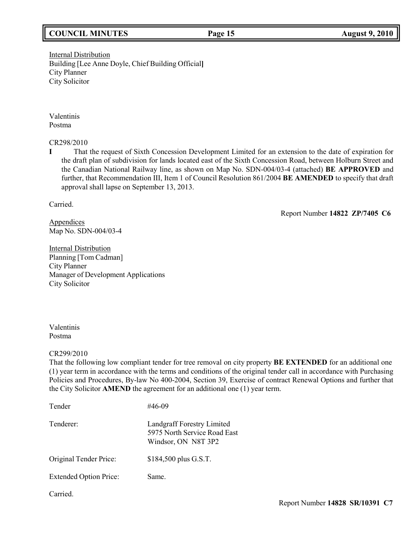## **COUNCIL MINUTES Page 15 August 9, 2010**

Internal Distribution Building [Lee Anne Doyle, Chief Building Official**]** City Planner City Solicitor

Valentinis Postma

CR298/2010

**I** That the request of Sixth Concession Development Limited for an extension to the date of expiration for the draft plan of subdivision for lands located east of the Sixth Concession Road, between Holburn Street and the Canadian National Railway line, as shown on Map No. SDN-004/03-4 (attached) **BE APPROVED** and further, that Recommendation III, Item 1 of Council Resolution 861/2004 **BE AMENDED** to specify that draft approval shall lapse on September 13, 2013.

Carried.

Report Number **14822 ZP/7405 C6**

Appendices Map No. SDN-004/03-4

Internal Distribution Planning [Tom Cadman] City Planner Manager of Development Applications City Solicitor

Valentinis Postma

CR299/2010

That the following low compliant tender for tree removal on city property **BE EXTENDED** for an additional one (1) year term in accordance with the terms and conditions of the original tender call in accordance with Purchasing Policies and Procedures, By-law No 400-2004, Section 39, Exercise of contract Renewal Options and further that the City Solicitor **AMEND** the agreement for an additional one (1) year term.

| Tender                        | #46-09                                                                            |
|-------------------------------|-----------------------------------------------------------------------------------|
| Tenderer:                     | Landgraff Forestry Limited<br>5975 North Service Road East<br>Windsor, ON N8T 3P2 |
| Original Tender Price:        | \$184,500 plus G.S.T.                                                             |
| <b>Extended Option Price:</b> | Same.                                                                             |
| Carried.                      |                                                                                   |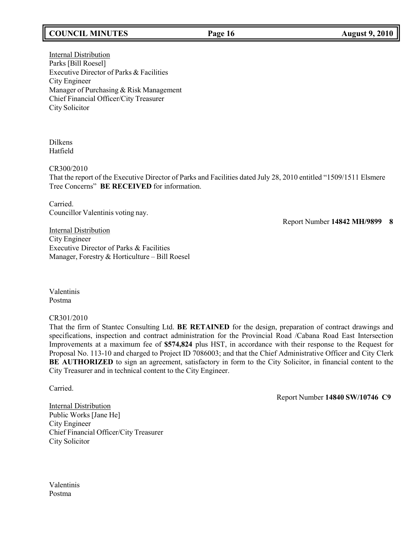## **COUNCIL MINUTES Page 16 August 9, 2010**

Internal Distribution Parks [Bill Roesel] Executive Director of Parks & Facilities City Engineer Manager of Purchasing & Risk Management Chief Financial Officer/City Treasurer City Solicitor

Dilkens Hatfield

CR300/2010

That the report of the Executive Director of Parks and Facilities dated July 28, 2010 entitled "1509/1511 Elsmere Tree Concerns" **BE RECEIVED** for information.

Carried. Councillor Valentinis voting nay.

Report Number **14842 MH/9899 8**

Internal Distribution City Engineer Executive Director of Parks & Facilities Manager, Forestry & Horticulture – Bill Roesel

Valentinis Postma

CR301/2010

That the firm of Stantec Consulting Ltd. **BE RETAINED** for the design, preparation of contract drawings and specifications, inspection and contract administration for the Provincial Road /Cabana Road East Intersection Improvements at a maximum fee of **\$574,824** plus HST, in accordance with their response to the Request for Proposal No. 113-10 and charged to Project ID 7086003; and that the Chief Administrative Officer and City Clerk **BE AUTHORIZED** to sign an agreement, satisfactory in form to the City Solicitor, in financial content to the City Treasurer and in technical content to the City Engineer.

Carried.

Report Number **14840 SW/10746 C9**

Internal Distribution Public Works [Jane He] City Engineer Chief Financial Officer/City Treasurer City Solicitor

Valentinis Postma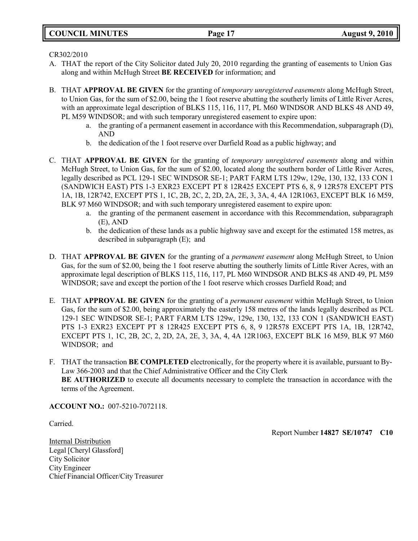CR302/2010

- A. THAT the report of the City Solicitor dated July 20, 2010 regarding the granting of easements to Union Gas along and within McHugh Street **BE RECEIVED** for information; and
- B. THAT **APPROVAL BE GIVEN** for the granting of *temporary unregistered easements* along McHugh Street, to Union Gas, for the sum of \$2.00, being the 1 foot reserve abutting the southerly limits of Little River Acres, with an approximate legal description of BLKS 115, 116, 117, PL M60 WINDSOR AND BLKS 48 AND 49, PL M59 WINDSOR; and with such temporary unregistered easement to expire upon:
	- a. the granting of a permanent easement in accordance with this Recommendation, subparagraph (D), AND
	- b. the dedication of the 1 foot reserve over Darfield Road as a public highway; and
- C. THAT **APPROVAL BE GIVEN** for the granting of *temporary unregistered easements* along and within McHugh Street, to Union Gas, for the sum of \$2.00, located along the southern border of Little River Acres, legally described as PCL 129-1 SEC WINDSOR SE-1; PART FARM LTS 129w, 129e, 130, 132, 133 CON 1 (SANDWICH EAST) PTS 1-3 EXR23 EXCEPT PT 8 12R425 EXCEPT PTS 6, 8, 9 12R578 EXCEPT PTS 1A, 1B, 12R742, EXCEPT PTS 1, 1C, 2B, 2C, 2, 2D, 2A, 2E, 3, 3A, 4, 4A 12R1063, EXCEPT BLK 16 M59, BLK 97 M60 WINDSOR; and with such temporary unregistered easement to expire upon:
	- a. the granting of the permanent easement in accordance with this Recommendation, subparagraph (E), AND
	- b. the dedication of these lands as a public highway save and except for the estimated 158 metres, as described in subparagraph (E); and
- D. THAT **APPROVAL BE GIVEN** for the granting of a *permanent easement* along McHugh Street, to Union Gas, for the sum of \$2.00, being the 1 foot reserve abutting the southerly limits of Little River Acres, with an approximate legal description of BLKS 115, 116, 117, PL M60 WINDSOR AND BLKS 48 AND 49, PL M59 WINDSOR; save and except the portion of the 1 foot reserve which crosses Darfield Road; and
- E. THAT **APPROVAL BE GIVEN** for the granting of a *permanent easement* within McHugh Street, to Union Gas, for the sum of \$2.00, being approximately the easterly 158 metres of the lands legally described as PCL 129-1 SEC WINDSOR SE-1; PART FARM LTS 129w, 129e, 130, 132, 133 CON 1 (SANDWICH EAST) PTS 1-3 EXR23 EXCEPT PT 8 12R425 EXCEPT PTS 6, 8, 9 12R578 EXCEPT PTS 1A, 1B, 12R742, EXCEPT PTS 1, 1C, 2B, 2C, 2, 2D, 2A, 2E, 3, 3A, 4, 4A 12R1063, EXCEPT BLK 16 M59, BLK 97 M60 WINDSOR; and
- F. THAT the transaction **BE COMPLETED** electronically, for the property where it is available, pursuant to By-Law 366-2003 and that the Chief Administrative Officer and the City Clerk **BE AUTHORIZED** to execute all documents necessary to complete the transaction in accordance with the terms of the Agreement.

**ACCOUNT NO.:** 007-5210-7072118.

Carried.

Report Number **14827 SE/10747 C10**

Internal Distribution Legal [Cheryl Glassford] City Solicitor City Engineer Chief Financial Officer/City Treasurer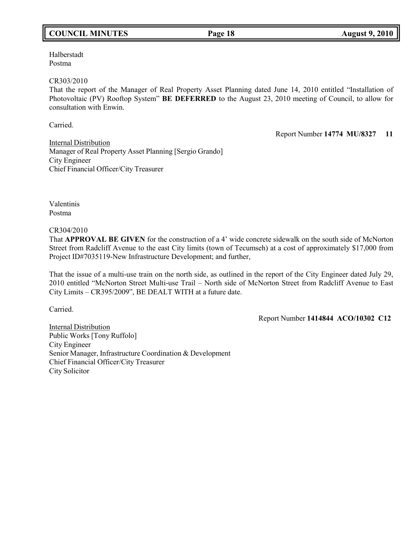## **COUNCIL MINUTES Page 18 August 9, 2010**

## Halberstadt Postma

### CR303/2010

That the report of the Manager of Real Property Asset Planning dated June 14, 2010 entitled "Installation of Photovoltaic (PV) Rooftop System" **BE DEFERRED** to the August 23, 2010 meeting of Council, to allow for consultation with Enwin.

Carried.

Report Number **14774 MU/8327 11**

Internal Distribution Manager of Real Property Asset Planning [Sergio Grando] City Engineer Chief Financial Officer/City Treasurer

Valentinis Postma

### CR304/2010

That **APPROVAL BE GIVEN** for the construction of a 4' wide concrete sidewalk on the south side of McNorton Street from Radcliff Avenue to the east City limits (town of Tecumseh) at a cost of approximately \$17,000 from Project ID#7035119-New Infrastructure Development; and further,

That the issue of a multi-use train on the north side, as outlined in the report of the City Engineer dated July 29, 2010 entitled "McNorton Street Multi-use Trail – North side of McNorton Street from Radcliff Avenue to East City Limits – CR395/2009", BE DEALT WITH at a future date.

Carried.

Report Number **1414844 ACO/10302 C12**

Internal Distribution Public Works [Tony Ruffolo] City Engineer Senior Manager, Infrastructure Coordination & Development Chief Financial Officer/City Treasurer City Solicitor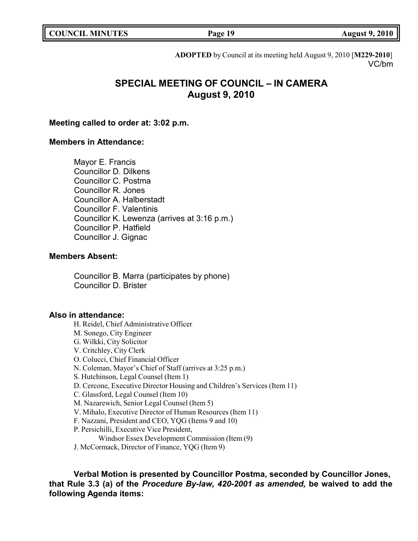| <b>COUNCIL MINUTES</b> |  |  |
|------------------------|--|--|
|------------------------|--|--|

**COUNCIL MINUTES Page 19 August 9, 2010**

**ADOPTED** by Council at its meeting held August 9, 2010 [**M229-2010**] VC/bm

## **SPECIAL MEETING OF COUNCIL – IN CAMERA August 9, 2010**

## **Meeting called to order at: 3:02 p.m.**

## **Members in Attendance:**

Mayor E. Francis Councillor D. Dilkens Councillor C. Postma Councillor R. Jones Councillor A. Halberstadt Councillor F. Valentinis Councillor K. Lewenza (arrives at 3:16 p.m.) Councillor P. Hatfield Councillor J. Gignac

## **Members Absent:**

Councillor B. Marra (participates by phone) Councillor D. Brister

## **Also in attendance:**

H. Reidel, Chief Administrative Officer M. Sonego, City Engineer G. Wilkki, City Solicitor V. Critchley, City Clerk O. Colucci, Chief Financial Officer N. Coleman, Mayor's Chief of Staff (arrives at 3:25 p.m.) S. Hutchinson, Legal Counsel (Item 1) D. Cercone, Executive Director Housing and Children's Services (Item 11) C. Glassford, Legal Counsel (Item 10) M. Nazarewich, Senior Legal Counsel (Item 5) V. Mihalo, Executive Director of Human Resources (Item 11) F. Nazzani, President and CEO, YQG (Items 9 and 10) P. Persichilli, Executive Vice President, Windsor Essex Development Commission (Item (9) J. McCormack, Director of Finance, YQG (Item 9)

**Verbal Motion is presented by Councillor Postma, seconded by Councillor Jones, that Rule 3.3 (a) of the** *Procedure By-law, 420-2001 as amended,* **be waived to add the following Agenda items:**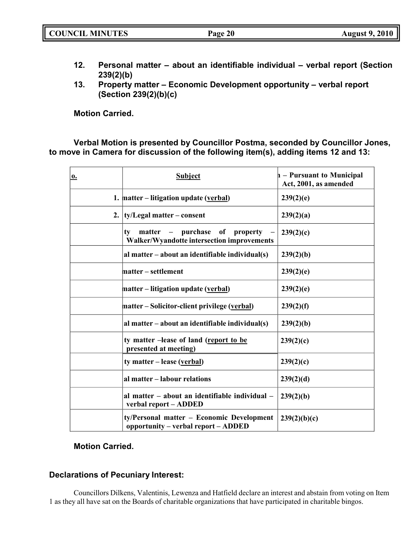|  | <b>COUNCIL MINUTES</b><br><b>August 9, 2010</b><br>Page 20 |
|--|------------------------------------------------------------|
|--|------------------------------------------------------------|

- **12. Personal matter – about an identifiable individual – verbal report (Section 239(2)(b)**
- **13. Property matter – Economic Development opportunity – verbal report (Section 239(2)(b)(c)**

**Motion Carried.**

**Verbal Motion is presented by Councillor Postma, seconded by Councillor Jones, to move in Camera for discussion of the following item(s), adding items 12 and 13:**

| $\overline{\mathbf{o}}$ . | <b>Subject</b>                                                                    | h – Pursuant to Municipal<br>Act, 2001, as amended |
|---------------------------|-----------------------------------------------------------------------------------|----------------------------------------------------|
|                           | 1. matter – litigation update (verbal)                                            | 239(2)(e)                                          |
|                           | 2. $\{ty/Legal matter-consent\}$                                                  | 239(2)(a)                                          |
|                           | matter – purchase of property<br>ty<br>Walker/Wyandotte intersection improvements | 239(2)(c)                                          |
|                           | al matter $-$ about an identifiable individual(s)                                 | 239(2)(b)                                          |
|                           | matter – settlement                                                               | 239(2)(e)                                          |
|                           | matter – litigation update (verbal)                                               | 239(2)(e)                                          |
|                           | matter – Solicitor-client privilege (verbal)                                      | 239(2)(f)                                          |
|                           | al matter $-$ about an identifiable individual(s)                                 | 239(2)(b)                                          |
|                           | ty matter -lease of land (report to be<br>presented at meeting)                   | 239(2)(c)                                          |
|                           | ty matter – lease (verbal)                                                        | 239(2)(c)                                          |
|                           | al matter - labour relations                                                      | 239(2)(d)                                          |
|                           | al matter - about an identifiable individual -<br>verbal report - ADDED           | 239(2)(b)                                          |
|                           | ty/Personal matter - Economic Development<br>opportunity - verbal report - ADDED  | 239(2)(b)(c)                                       |

## **Motion Carried.**

## **Declarations of Pecuniary Interest:**

Councillors Dilkens, Valentinis, Lewenza and Hatfield declare an interest and abstain from voting on Item 1 as they all have sat on the Boards of charitable organizations that have participated in charitable bingos.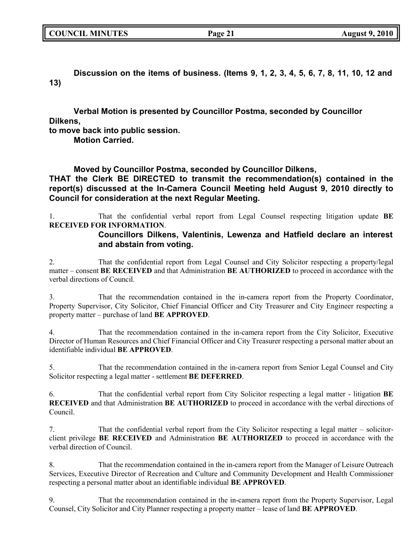| <b>COUNCIL MINUTES</b> |  |
|------------------------|--|
|------------------------|--|

Discussion on the items of business. (Items 9, 1, 2, 3, 4, 5, 6, 7, 8, 11, 10, 12 and **13)**

**Verbal Motion is presented by Councillor Postma, seconded by Councillor Dilkens,**

**to move back into public session.**

**Motion Carried.**

**Moved by Councillor Postma, seconded by Councillor Dilkens,**

**THAT the Clerk BE DIRECTED to transmit the recommendation(s) contained in the report(s) discussed at the In-Camera Council Meeting held August 9, 2010 directly to Council for consideration at the next Regular Meeting.**

1. That the confidential verbal report from Legal Counsel respecting litigation update **BE RECEIVED FOR INFORMATION**.

## **Councillors Dilkens, Valentinis, Lewenza and Hatfield declare an interest and abstain from voting.**

2. That the confidential report from Legal Counsel and City Solicitor respecting a property/legal matter – consent **BE RECEIVED** and that Administration **BE AUTHORIZED** to proceed in accordance with the verbal directions of Council.

3. That the recommendation contained in the in-camera report from the Property Coordinator, Property Supervisor, City Solicitor, Chief Financial Officer and City Treasurer and City Engineer respecting a property matter – purchase of land **BE APPROVED**.

4. That the recommendation contained in the in-camera report from the City Solicitor, Executive Director of Human Resources and Chief Financial Officer and City Treasurer respecting a personal matter about an identifiable individual **BE APPROVED**.

5. That the recommendation contained in the in-camera report from Senior Legal Counsel and City Solicitor respecting a legal matter - settlement **BE DEFERRED**.

6. That the confidential verbal report from City Solicitor respecting a legal matter - litigation **BE RECEIVED** and that Administration **BE AUTHORIZED** to proceed in accordance with the verbal directions of Council.

7. That the confidential verbal report from the City Solicitor respecting a legal matter – solicitorclient privilege **BE RECEIVED** and Administration **BE AUTHORIZED** to proceed in accordance with the verbal direction of Council.

8. That the recommendation contained in the in-camera report from the Manager of Leisure Outreach Services, Executive Director of Recreation and Culture and Community Development and Health Commissioner respecting a personal matter about an identifiable individual **BE APPROVED**.

9. That the recommendation contained in the in-camera report from the Property Supervisor, Legal Counsel, City Solicitor and City Planner respecting a property matter – lease of land **BE APPROVED**.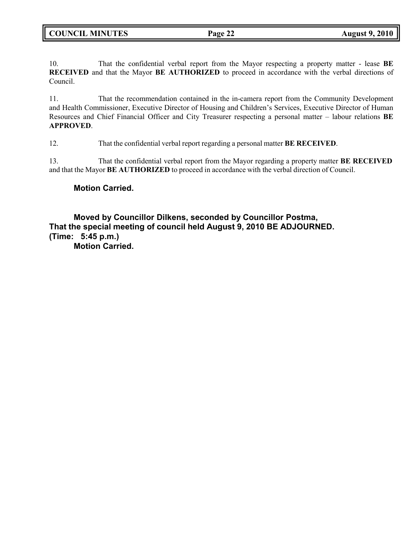10. That the confidential verbal report from the Mayor respecting a property matter - lease **BE RECEIVED** and that the Mayor **BE AUTHORIZED** to proceed in accordance with the verbal directions of Council.

11. That the recommendation contained in the in-camera report from the Community Development and Health Commissioner, Executive Director of Housing and Children's Services, Executive Director of Human Resources and Chief Financial Officer and City Treasurer respecting a personal matter – labour relations **BE APPROVED**.

12. That the confidential verbal report regarding a personal matter **BE RECEIVED**.

13. That the confidential verbal report from the Mayor regarding a property matter **BE RECEIVED** and that the Mayor **BE AUTHORIZED** to proceed in accordance with the verbal direction of Council.

## **Motion Carried.**

**Moved by Councillor Dilkens, seconded by Councillor Postma, That the special meeting of council held August 9, 2010 BE ADJOURNED. (Time: 5:45 p.m.) Motion Carried.**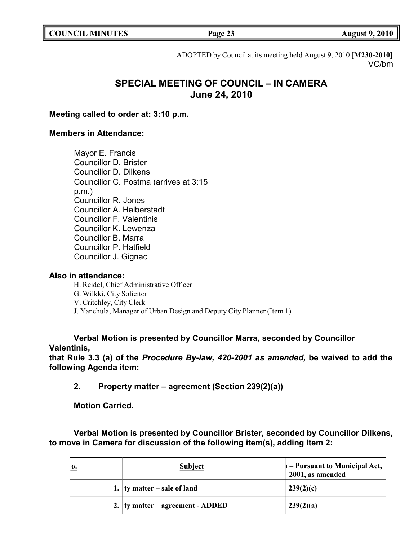**COUNCIL MINUTES Page 23 August 9, 2010**

ADOPTED by Council at its meeting held August 9, 2010 [**M230-2010**] VC/bm

## **SPECIAL MEETING OF COUNCIL – IN CAMERA June 24, 2010**

**Meeting called to order at: 3:10 p.m.**

## **Members in Attendance:**

Mayor E. Francis Councillor D. Brister Councillor D. Dilkens Councillor C. Postma (arrives at 3:15 p.m.) Councillor R. Jones Councillor A. Halberstadt Councillor F. Valentinis Councillor K. Lewenza Councillor B. Marra Councillor P. Hatfield Councillor J. Gignac

## **Also in attendance:**

H. Reidel, Chief Administrative Officer G. Wilkki, City Solicitor V. Critchley, City Clerk J. Yanchula, Manager of Urban Design and Deputy City Planner (Item 1)

## **Verbal Motion is presented by Councillor Marra, seconded by Councillor Valentinis,**

**that Rule 3.3 (a) of the** *Procedure By-law, 420-2001 as amended,* **be waived to add the following Agenda item:**

**2. Property matter – agreement (Section 239(2)(a))**

**Motion Carried.**

**Verbal Motion is presented by Councillor Brister, seconded by Councillor Dilkens, to move in Camera for discussion of the following item(s), adding Item 2:**

| <b>0.</b> | <b>Subject</b>                       | $\mathbf{h}$ – Pursuant to Municipal Act,<br>2001, as amended |
|-----------|--------------------------------------|---------------------------------------------------------------|
|           | 1. $\vert$ ty matter – sale of land  | 239(2)(c)                                                     |
|           | 2. $ $ ty matter – agreement - ADDED | 239(2)(a)                                                     |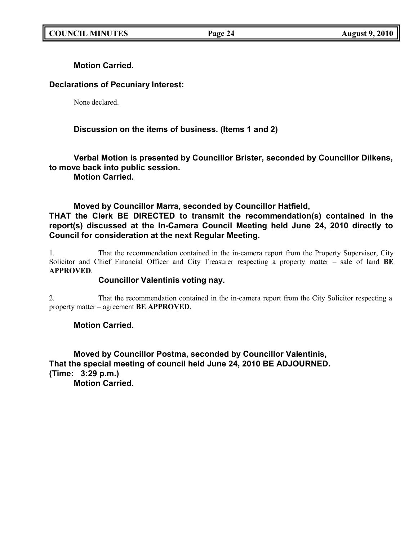**Motion Carried.**

## **Declarations of Pecuniary Interest:**

None declared.

## **Discussion on the items of business. (Items 1 and 2)**

**Verbal Motion is presented by Councillor Brister, seconded by Councillor Dilkens, to move back into public session.**

**Motion Carried.**

## **Moved by Councillor Marra, seconded by Councillor Hatfield,**

**THAT the Clerk BE DIRECTED to transmit the recommendation(s) contained in the report(s) discussed at the In-Camera Council Meeting held June 24, 2010 directly to Council for consideration at the next Regular Meeting.**

1. That the recommendation contained in the in-camera report from the Property Supervisor, City Solicitor and Chief Financial Officer and City Treasurer respecting a property matter – sale of land **BE APPROVED**.

## **Councillor Valentinis voting nay.**

2. That the recommendation contained in the in-camera report from the City Solicitor respecting a property matter – agreement **BE APPROVED**.

## **Motion Carried.**

**Moved by Councillor Postma, seconded by Councillor Valentinis, That the special meeting of council held June 24, 2010 BE ADJOURNED. (Time: 3:29 p.m.)**

**Motion Carried.**